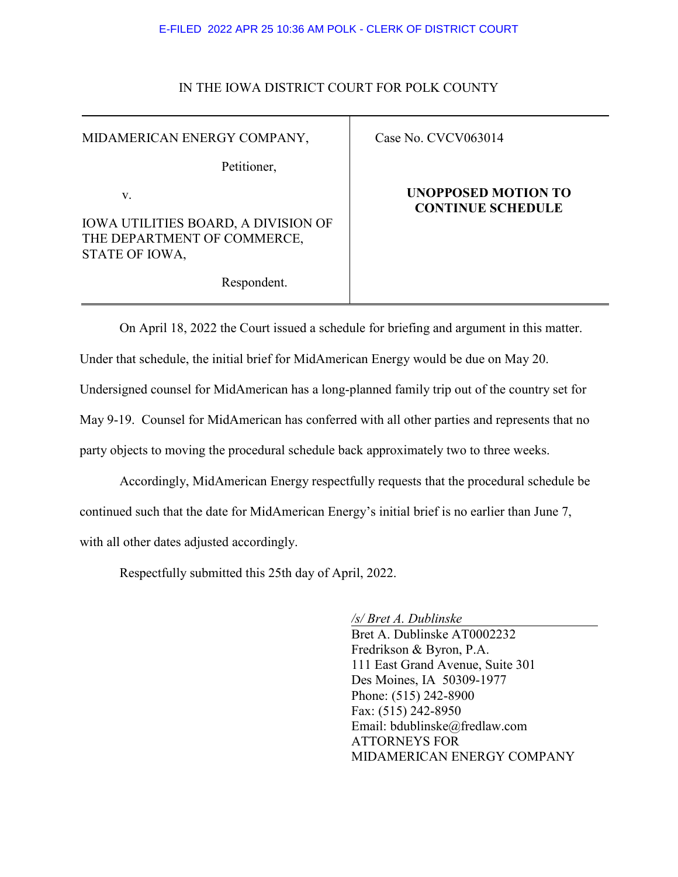#### E-FILED 2022 APR 25 10:36 AM POLK - CLERK OF DISTRICT COURT

#### IN THE IOWA DISTRICT COURT FOR POLK COUNTY

MIDAMERICAN ENERGY COMPANY,

Petitioner,

v.

IOWA UTILITIES BOARD, A DIVISION OF THE DEPARTMENT OF COMMERCE, STATE OF IOWA,

### Case No. CVCV063014

### **UNOPPOSED MOTION TO CONTINUE SCHEDULE**

Respondent.

On April 18, 2022 the Court issued a schedule for briefing and argument in this matter.

Under that schedule, the initial brief for MidAmerican Energy would be due on May 20.

Undersigned counsel for MidAmerican has a long-planned family trip out of the country set for

May 9-19. Counsel for MidAmerican has conferred with all other parties and represents that no

party objects to moving the procedural schedule back approximately two to three weeks.

Accordingly, MidAmerican Energy respectfully requests that the procedural schedule be continued such that the date for MidAmerican Energy's initial brief is no earlier than June 7, with all other dates adjusted accordingly.

Respectfully submitted this 25th day of April, 2022.

*/s/ Bret A. Dublinske*

Bret A. Dublinske AT0002232 Fredrikson & Byron, P.A. 111 East Grand Avenue, Suite 301 Des Moines, IA 50309-1977 Phone: (515) 242-8900 Fax: (515) 242-8950 Email: bdublinske@fredlaw.com ATTORNEYS FOR MIDAMERICAN ENERGY COMPANY